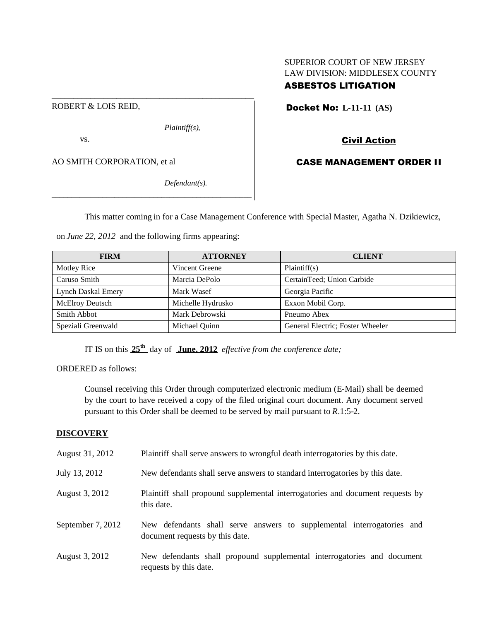## SUPERIOR COURT OF NEW JERSEY LAW DIVISION: MIDDLESEX COUNTY

# ASBESTOS LITIGATION

Docket No: **L-11-11 (AS)**

*Plaintiff(s),*

\_\_\_\_\_\_\_\_\_\_\_\_\_\_\_\_\_\_\_\_\_\_\_\_\_\_\_\_\_\_\_\_\_\_\_\_\_\_\_\_\_\_\_\_\_\_\_

vs.

ROBERT & LOIS REID,

AO SMITH CORPORATION, et al

*Defendant(s).*

Civil Action

# CASE MANAGEMENT ORDER II

This matter coming in for a Case Management Conference with Special Master, Agatha N. Dzikiewicz,

on *June 22, 2012* and the following firms appearing:

\_\_\_\_\_\_\_\_\_\_\_\_\_\_\_\_\_\_\_\_\_\_\_\_\_\_\_\_\_\_\_\_\_\_\_\_\_\_\_\_\_\_\_\_\_\_\_\_\_\_\_

| <b>FIRM</b>               | <b>ATTORNEY</b>   | <b>CLIENT</b>                    |
|---------------------------|-------------------|----------------------------------|
| Motley Rice               | Vincent Greene    | Plaintiff(s)                     |
| Caruso Smith              | Marcia DePolo     | CertainTeed; Union Carbide       |
| <b>Lynch Daskal Emery</b> | Mark Wasef        | Georgia Pacific                  |
| <b>McElroy Deutsch</b>    | Michelle Hydrusko | Exxon Mobil Corp.                |
| Smith Abbot               | Mark Debrowski    | Pneumo Abex                      |
| Speziali Greenwald        | Michael Quinn     | General Electric; Foster Wheeler |

IT IS on this **25th** day of **June, 2012** *effective from the conference date;*

ORDERED as follows:

Counsel receiving this Order through computerized electronic medium (E-Mail) shall be deemed by the court to have received a copy of the filed original court document. Any document served pursuant to this Order shall be deemed to be served by mail pursuant to *R*.1:5-2.

### **DISCOVERY**

| August 31, 2012   | Plaintiff shall serve answers to wrongful death interrogatories by this date.                             |
|-------------------|-----------------------------------------------------------------------------------------------------------|
| July 13, 2012     | New defendants shall serve answers to standard interrogatories by this date.                              |
| August 3, 2012    | Plaintiff shall propound supplemental interrogatories and document requests by<br>this date.              |
| September 7, 2012 | New defendants shall serve answers to supplemental interrogatories and<br>document requests by this date. |
| August 3, 2012    | New defendants shall propound supplemental interrogatories and document<br>requests by this date.         |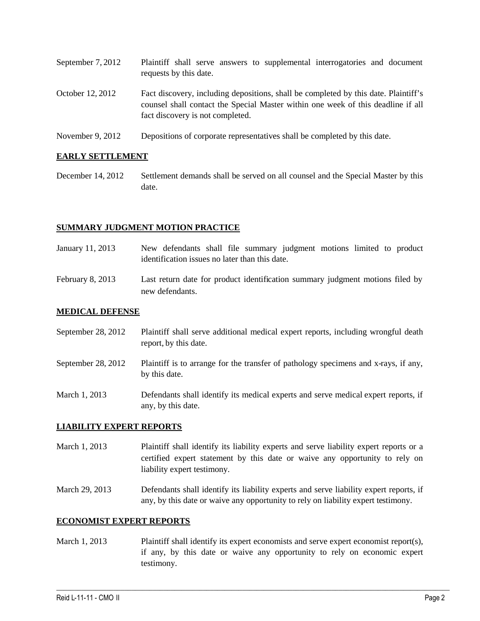| September 7, 2012 | Plaintiff shall serve answers to supplemental interrogatories and document<br>requests by this date.                                                                                                        |
|-------------------|-------------------------------------------------------------------------------------------------------------------------------------------------------------------------------------------------------------|
| October 12, 2012  | Fact discovery, including depositions, shall be completed by this date. Plaintiff's<br>counsel shall contact the Special Master within one week of this deadline if all<br>fact discovery is not completed. |
|                   |                                                                                                                                                                                                             |

November 9, 2012 Depositions of corporate representatives shall be completed by this date.

### **EARLY SETTLEMENT**

December 14, 2012 Settlement demands shall be served on all counsel and the Special Master by this date.

### **SUMMARY JUDGMENT MOTION PRACTICE**

- January 11, 2013 New defendants shall file summary judgment motions limited to product identification issues no later than this date.
- February 8, 2013 Last return date for product identification summary judgment motions filed by new defendants.

#### **MEDICAL DEFENSE**

| September 28, 2012 | Plaintiff shall serve additional medical expert reports, including wrongful death |
|--------------------|-----------------------------------------------------------------------------------|
|                    | report, by this date.                                                             |

- September 28, 2012 Plaintiff is to arrange for the transfer of pathology specimens and x-rays, if any, by this date.
- March 1, 2013 Defendants shall identify its medical experts and serve medical expert reports, if any, by this date.

### **LIABILITY EXPERT REPORTS**

- March 1, 2013 Plaintiff shall identify its liability experts and serve liability expert reports or a certified expert statement by this date or waive any opportunity to rely on liability expert testimony.
- March 29, 2013 Defendants shall identify its liability experts and serve liability expert reports, if any, by this date or waive any opportunity to rely on liability expert testimony.

#### **ECONOMIST EXPERT REPORTS**

March 1, 2013 Plaintiff shall identify its expert economists and serve expert economist report(s), if any, by this date or waive any opportunity to rely on economic expert testimony.

 $\_$  ,  $\_$  ,  $\_$  ,  $\_$  ,  $\_$  ,  $\_$  ,  $\_$  ,  $\_$  ,  $\_$  ,  $\_$  ,  $\_$  ,  $\_$  ,  $\_$  ,  $\_$  ,  $\_$  ,  $\_$  ,  $\_$  ,  $\_$  ,  $\_$  ,  $\_$  ,  $\_$  ,  $\_$  ,  $\_$  ,  $\_$  ,  $\_$  ,  $\_$  ,  $\_$  ,  $\_$  ,  $\_$  ,  $\_$  ,  $\_$  ,  $\_$  ,  $\_$  ,  $\_$  ,  $\_$  ,  $\_$  ,  $\_$  ,